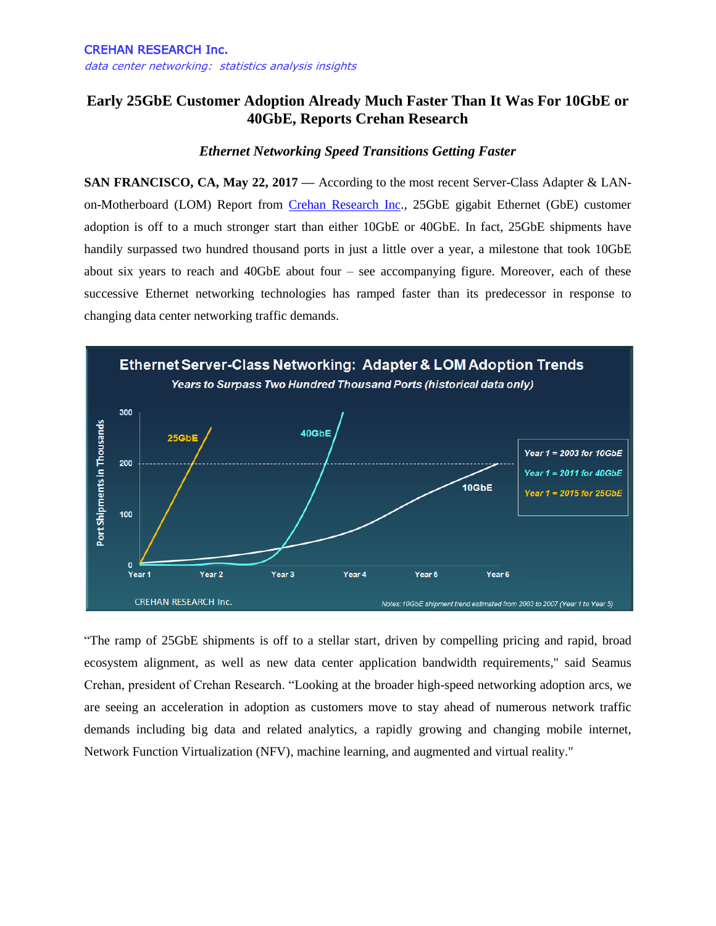## **Early 25GbE Customer Adoption Already Much Faster Than It Was For 10GbE or 40GbE, Reports Crehan Research**

## *Ethernet Networking Speed Transitions Getting Faster*

**SAN FRANCISCO, CA, May 22, 2017 —** According to the most recent Server-Class Adapter & LANon-Motherboard (LOM) Report from [Crehan Research Inc.](http://www.crehanresearch.com/), 25GbE gigabit Ethernet (GbE) customer adoption is off to a much stronger start than either 10GbE or 40GbE. In fact, 25GbE shipments have handily surpassed two hundred thousand ports in just a little over a year, a milestone that took 10GbE about six years to reach and 40GbE about four – see accompanying figure. Moreover, each of these successive Ethernet networking technologies has ramped faster than its predecessor in response to changing data center networking traffic demands.



"The ramp of 25GbE shipments is off to a stellar start, driven by compelling pricing and rapid, broad ecosystem alignment, as well as new data center application bandwidth requirements," said Seamus Crehan, president of Crehan Research. "Looking at the broader high-speed networking adoption arcs, we are seeing an acceleration in adoption as customers move to stay ahead of numerous network traffic demands including big data and related analytics, a rapidly growing and changing mobile internet, Network Function Virtualization (NFV), machine learning, and augmented and virtual reality."